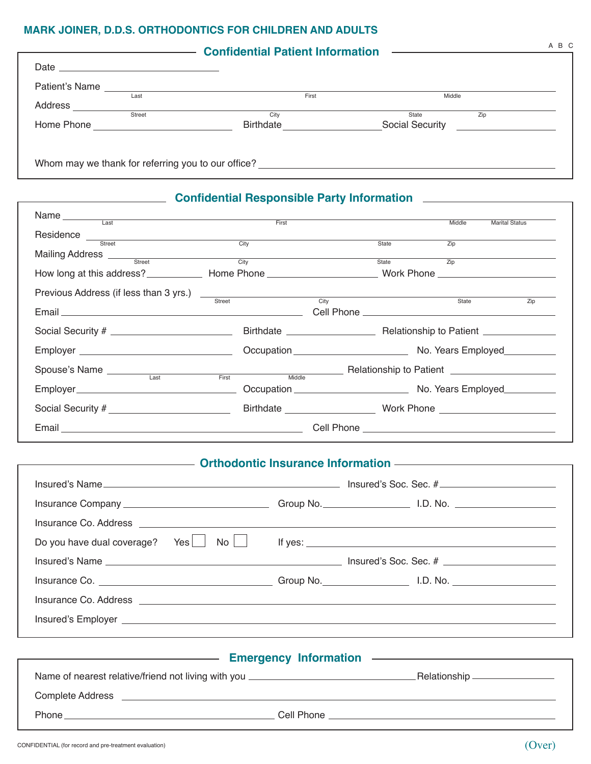## **Mark Joiner, D.D.S. Orthodontics for children and adults**

| Patient's Name                                           |  |
|----------------------------------------------------------|--|
|                                                          |  |
| First<br>Middle<br>Last                                  |  |
| Address<br>Street<br>City<br>Zip<br>State                |  |
| <b>Social Security</b><br>Home Phone<br><b>Birthdate</b> |  |

| Name Last <b>Example 2018</b>                                                      |  |  |       | Middle           | <b>Marital Status</b> |
|------------------------------------------------------------------------------------|--|--|-------|------------------|-----------------------|
|                                                                                    |  |  |       |                  |                       |
| Residence Street City                                                              |  |  | State | $\overline{Zip}$ |                       |
| Mailing Address <u>Street City</u>                                                 |  |  | State | $\overline{Zip}$ |                       |
|                                                                                    |  |  |       |                  |                       |
| Previous Address (if less than 3 yrs.)<br>Street City City                         |  |  |       |                  |                       |
|                                                                                    |  |  |       | State            | Zip                   |
|                                                                                    |  |  |       |                  |                       |
|                                                                                    |  |  |       |                  |                       |
| Spouse's Name<br>Last First Middle Relationship to Patient  Last Last First Middle |  |  |       |                  |                       |
|                                                                                    |  |  |       |                  |                       |
|                                                                                    |  |  |       |                  |                       |
|                                                                                    |  |  |       |                  |                       |

## **Community Continues Information Continues Continues Information Continues Information**

| $\mathsf{No} \mid \mid$<br>Yes  <br>Do you have dual coverage?                                                                                                                                                                       | If yes: $\sqrt{2\pi r}$ |
|--------------------------------------------------------------------------------------------------------------------------------------------------------------------------------------------------------------------------------------|-------------------------|
|                                                                                                                                                                                                                                      |                         |
|                                                                                                                                                                                                                                      |                         |
| Insurance Co. Address <b>contract and the contract of the contract of the contract of the contract of the contract of the contract of the contract of the contract of the contract of the contract of the contract of the contra</b> |                         |
|                                                                                                                                                                                                                                      |                         |
|                                                                                                                                                                                                                                      |                         |

|                         | <b>Emergency Information</b><br>the control of the control of the control of the control of the control of | <u> 1980 - Jan Alexander de Carlos III (m. 1980)</u> |
|-------------------------|------------------------------------------------------------------------------------------------------------|------------------------------------------------------|
|                         | Name of nearest relative/friend not living with you ____________________________                           | _Relationship __________________                     |
| <b>Complete Address</b> |                                                                                                            |                                                      |
| <b>Phone</b>            | Cell Phone                                                                                                 |                                                      |